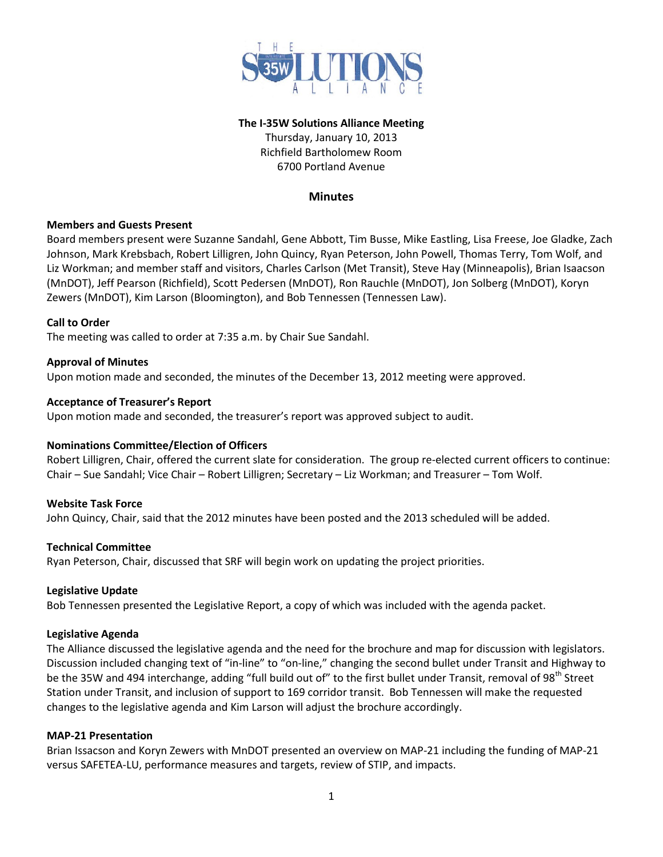

## **The I-35W Solutions Alliance Meeting**

Thursday, January 10, 2013 Richfield Bartholomew Room 6700 Portland Avenue

## **Minutes**

## **Members and Guests Present**

Board members present were Suzanne Sandahl, Gene Abbott, Tim Busse, Mike Eastling, Lisa Freese, Joe Gladke, Zach Johnson, Mark Krebsbach, Robert Lilligren, John Quincy, Ryan Peterson, John Powell, Thomas Terry, Tom Wolf, and Liz Workman; and member staff and visitors, Charles Carlson (Met Transit), Steve Hay (Minneapolis), Brian Isaacson (MnDOT), Jeff Pearson (Richfield), Scott Pedersen (MnDOT), Ron Rauchle (MnDOT), Jon Solberg (MnDOT), Koryn Zewers (MnDOT), Kim Larson (Bloomington), and Bob Tennessen (Tennessen Law).

## **Call to Order**

The meeting was called to order at 7:35 a.m. by Chair Sue Sandahl.

## **Approval of Minutes**

Upon motion made and seconded, the minutes of the December 13, 2012 meeting were approved.

## **Acceptance of Treasurer's Report**

Upon motion made and seconded, the treasurer's report was approved subject to audit.

## **Nominations Committee/Election of Officers**

Robert Lilligren, Chair, offered the current slate for consideration. The group re-elected current officers to continue: Chair – Sue Sandahl; Vice Chair – Robert Lilligren; Secretary – Liz Workman; and Treasurer – Tom Wolf.

#### **Website Task Force**

John Quincy, Chair, said that the 2012 minutes have been posted and the 2013 scheduled will be added.

#### **Technical Committee**

Ryan Peterson, Chair, discussed that SRF will begin work on updating the project priorities.

#### **Legislative Update**

Bob Tennessen presented the Legislative Report, a copy of which was included with the agenda packet.

#### **Legislative Agenda**

The Alliance discussed the legislative agenda and the need for the brochure and map for discussion with legislators. Discussion included changing text of "in-line" to "on-line," changing the second bullet under Transit and Highway to be the 35W and 494 interchange, adding "full build out of" to the first bullet under Transit, removal of 98<sup>th</sup> Street Station under Transit, and inclusion of support to 169 corridor transit. Bob Tennessen will make the requested changes to the legislative agenda and Kim Larson will adjust the brochure accordingly.

#### **MAP-21 Presentation**

Brian Issacson and Koryn Zewers with MnDOT presented an overview on MAP-21 including the funding of MAP-21 versus SAFETEA-LU, performance measures and targets, review of STIP, and impacts.